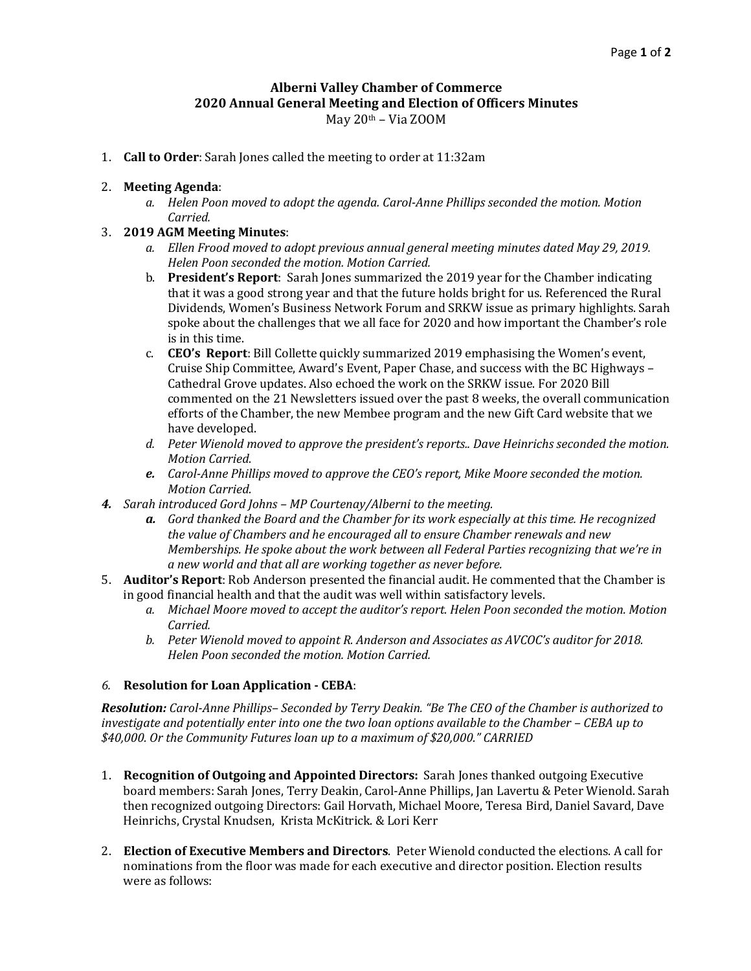## **Alberni Valley Chamber of Commerce 2020 Annual General Meeting and Election of Officers Minutes**

May 20th – Via ZOOM

1. **Call to Order**: Sarah Jones called the meeting to order at 11:32am

## 2. **Meeting Agenda**:

*a. Helen Poon moved to adopt the agenda. Carol-Anne Phillips seconded the motion. Motion Carried.*

## 3. **2019 AGM Meeting Minutes**:

- *a. Ellen Frood moved to adopt previous annual general meeting minutes dated May 29, 2019. Helen Poon seconded the motion. Motion Carried.*
- b. **President's Report**: Sarah Jones summarized the 2019 year for the Chamber indicating that it was a good strong year and that the future holds bright for us. Referenced the Rural Dividends, Women's Business Network Forum and SRKW issue as primary highlights. Sarah spoke about the challenges that we all face for 2020 and how important the Chamber's role is in this time.
- c. **CEO's Report**: Bill Collette quickly summarized 2019 emphasising the Women's event, Cruise Ship Committee, Award's Event, Paper Chase, and success with the BC Highways – Cathedral Grove updates. Also echoed the work on the SRKW issue. For 2020 Bill commented on the 21 Newsletters issued over the past 8 weeks, the overall communication efforts of the Chamber, the new Membee program and the new Gift Card website that we have developed.
- *d. Peter Wienold moved to approve the president's reports.. Dave Heinrichs seconded the motion. Motion Carried.*
- *e. Carol-Anne Phillips moved to approve the CEO's report, Mike Moore seconded the motion. Motion Carried.*
- *4. Sarah introduced Gord Johns – MP Courtenay/Alberni to the meeting.*
	- *a. Gord thanked the Board and the Chamber for its work especially at this time. He recognized the value of Chambers and he encouraged all to ensure Chamber renewals and new Memberships. He spoke about the work between all Federal Parties recognizing that we're in a new world and that all are working together as never before.*
- 5. **Auditor's Report**: Rob Anderson presented the financial audit. He commented that the Chamber is in good financial health and that the audit was well within satisfactory levels.
	- *a. Michael Moore moved to accept the auditor's report. Helen Poon seconded the motion. Motion Carried.*
	- *b. Peter Wienold moved to appoint R. Anderson and Associates as AVCOC's auditor for 2018. Helen Poon seconded the motion. Motion Carried.*

## *6.* **Resolution for Loan Application - CEBA**:

*Resolution: Carol-Anne Phillips– Seconded by Terry Deakin. "Be The CEO of the Chamber is authorized to investigate and potentially enter into one the two loan options available to the Chamber – CEBA up to \$40,000. Or the Community Futures loan up to a maximum of \$20,000." CARRIED*

- 1. **Recognition of Outgoing and Appointed Directors:** Sarah Jones thanked outgoing Executive board members: Sarah Jones, Terry Deakin, Carol-Anne Phillips, Jan Lavertu & Peter Wienold. Sarah then recognized outgoing Directors: Gail Horvath, Michael Moore, Teresa Bird, Daniel Savard, Dave Heinrichs, Crystal Knudsen, Krista McKitrick. & Lori Kerr
- 2. **Election of Executive Members and Directors**. Peter Wienold conducted the elections. A call for nominations from the floor was made for each executive and director position. Election results were as follows: